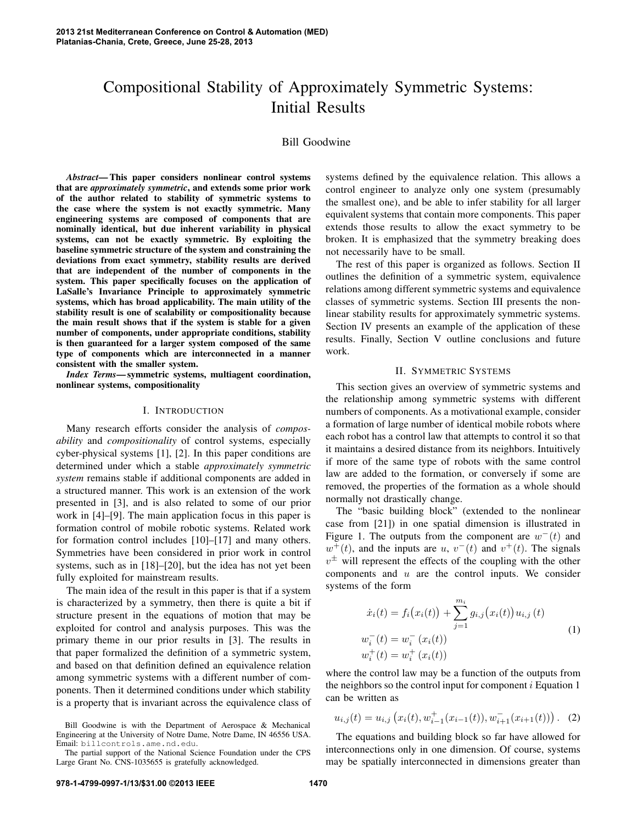# Compositional Stability of Approximately Symmetric Systems: Initial Results

## Bill Goodwine

*Abstract*— This paper considers nonlinear control systems that are *approximately symmetric*, and extends some prior work of the author related to stability of symmetric systems to the case where the system is not exactly symmetric. Many engineering systems are composed of components that are nominally identical, but due inherent variability in physical systems, can not be exactly symmetric. By exploiting the baseline symmetric structure of the system and constraining the deviations from exact symmetry, stability results are derived that are independent of the number of components in the system. This paper specifically focuses on the application of LaSalle's Invariance Principle to approximately symmetric systems, which has broad applicability. The main utility of the stability result is one of scalability or compositionality because the main result shows that if the system is stable for a given number of components, under appropriate conditions, stability is then guaranteed for a larger system composed of the same type of components which are interconnected in a manner consistent with the smaller system.

*Index Terms*— symmetric systems, multiagent coordination, nonlinear systems, compositionality

## I. INTRODUCTION

Many research efforts consider the analysis of *composability* and *compositionality* of control systems, especially cyber-physical systems [1], [2]. In this paper conditions are determined under which a stable *approximately symmetric system* remains stable if additional components are added in a structured manner. This work is an extension of the work presented in [3], and is also related to some of our prior work in [4]–[9]. The main application focus in this paper is formation control of mobile robotic systems. Related work for formation control includes [10]–[17] and many others. Symmetries have been considered in prior work in control systems, such as in [18]–[20], but the idea has not yet been fully exploited for mainstream results.

The main idea of the result in this paper is that if a system is characterized by a symmetry, then there is quite a bit if structure present in the equations of motion that may be exploited for control and analysis purposes. This was the primary theme in our prior results in [3]. The results in that paper formalized the definition of a symmetric system, and based on that definition defined an equivalence relation among symmetric systems with a different number of components. Then it determined conditions under which stability is a property that is invariant across the equivalence class of

Bill Goodwine is with the Department of Aerospace & Mechanical Engineering at the University of Notre Dame, Notre Dame, IN 46556 USA. Email: billcontrols.ame.nd.edu.

The partial support of the National Science Foundation under the CPS Large Grant No. CNS-1035655 is gratefully acknowledged.

systems defined by the equivalence relation. This allows a control engineer to analyze only one system (presumably the smallest one), and be able to infer stability for all larger equivalent systems that contain more components. This paper extends those results to allow the exact symmetry to be broken. It is emphasized that the symmetry breaking does not necessarily have to be small.

The rest of this paper is organized as follows. Section II outlines the definition of a symmetric system, equivalence relations among different symmetric systems and equivalence classes of symmetric systems. Section III presents the nonlinear stability results for approximately symmetric systems. Section IV presents an example of the application of these results. Finally, Section V outline conclusions and future work.

## II. SYMMETRIC SYSTEMS

This section gives an overview of symmetric systems and the relationship among symmetric systems with different numbers of components. As a motivational example, consider a formation of large number of identical mobile robots where each robot has a control law that attempts to control it so that it maintains a desired distance from its neighbors. Intuitively if more of the same type of robots with the same control law are added to the formation, or conversely if some are removed, the properties of the formation as a whole should normally not drastically change.

The "basic building block" (extended to the nonlinear case from [21]) in one spatial dimension is illustrated in Figure 1. The outputs from the component are  $w^-(t)$  and  $w^+(t)$ , and the inputs are u,  $v^-(t)$  and  $v^+(t)$ . The signals  $v^{\pm}$  will represent the effects of the coupling with the other components and  $u$  are the control inputs. We consider systems of the form

$$
\dot{x}_i(t) = f_i(x_i(t)) + \sum_{j=1}^{m_i} g_{i,j}(x_i(t))u_{i,j}(t)
$$
\n
$$
w_i^-(t) = w_i^-(x_i(t))
$$
\n
$$
w_i^+(t) = w_i^+(x_i(t))
$$
\n(1)

where the control law may be a function of the outputs from the neighbors so the control input for component  $i$  Equation 1 can be written as

 $u_{i,j}(t) = u_{i,j}\left(x_i(t), w_{i-1}^+(x_{i-1}(t)), w_{i+1}^-(x_{i+1}(t))\right)$ . (2)

The equations and building block so far have allowed for interconnections only in one dimension. Of course, systems may be spatially interconnected in dimensions greater than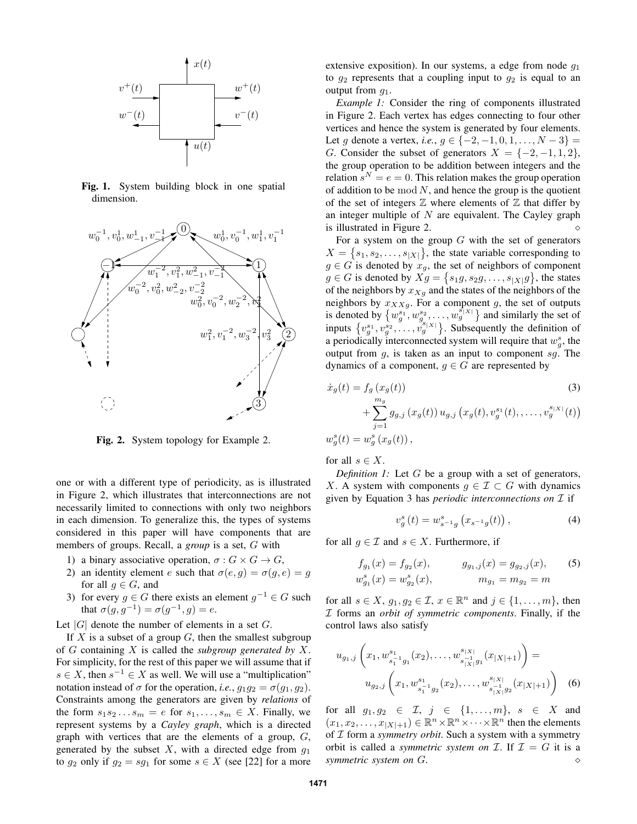

Fig. 1. System building block in one spatial dimension.



Fig. 2. System topology for Example 2.

one or with a different type of periodicity, as is illustrated in Figure 2, which illustrates that interconnections are not necessarily limited to connections with only two neighbors in each dimension. To generalize this, the types of systems considered in this paper will have components that are members of groups. Recall, a *group* is a set, G with

- 1) a binary associative operation,  $\sigma: G \times G \to G$ ,
- 2) an identity element e such that  $\sigma(e, g) = \sigma(g, e) = g$ for all  $q \in G$ , and
- 3) for every  $g \in G$  there exists an element  $g^{-1} \in G$  such that  $\sigma(g, g^{-1}) = \sigma(g^{-1}, g) = e$ .

Let  $|G|$  denote the number of elements in a set  $G$ .

If X is a subset of a group  $G$ , then the smallest subgroup of G containing X is called the *subgroup generated by* X. For simplicity, for the rest of this paper we will assume that if  $s \in X$ , then  $s^{-1} \in X$  as well. We will use a "multiplication" notation instead of  $\sigma$  for the operation, *i.e.*,  $g_1 g_2 = \sigma(g_1, g_2)$ . Constraints among the generators are given by *relations* of the form  $s_1s_2...s_m = e$  for  $s_1,...,s_m \in X$ . Finally, we represent systems by a *Cayley graph*, which is a directed graph with vertices that are the elements of a group,  $G$ , generated by the subset  $X$ , with a directed edge from  $g_1$ to  $g_2$  only if  $g_2 = sg_1$  for some  $s \in X$  (see [22] for a more

extensive exposition). In our systems, a edge from node  $q_1$ to  $g_2$  represents that a coupling input to  $g_2$  is equal to an output from  $q_1$ .

*Example 1:* Consider the ring of components illustrated in Figure 2. Each vertex has edges connecting to four other vertices and hence the system is generated by four elements. Let g denote a vertex, *i.e.*,  $g \in \{-2, -1, 0, 1, \ldots, N - 3\} =$ G. Consider the subset of generators  $X = \{-2, -1, 1, 2\}$ , the group operation to be addition between integers and the relation  $s^N = e = 0$ . This relation makes the group operation of addition to be mod  $N$ , and hence the group is the quotient of the set of integers  $\mathbb Z$  where elements of  $\mathbb Z$  that differ by an integer multiple of  $N$  are equivalent. The Cayley graph is illustrated in Figure 2.

For a system on the group  $G$  with the set of generators  $X = \{s_1, s_2, \ldots, s_{|X|}\}\,$ , the state variable corresponding to  $g \in G$  is denoted by  $x_g$ , the set of neighbors of component  $g \in G$  is denoted by  $Xg = \{s_1g, s_2g, \dots, s_{|X|}g\}$ , the states of the neighbors by  $x_{Xg}$  and the states of the neighbors of the neighbors by  $x_{XXg}$ . For a component g, the set of outputs is denoted by  $\{w_9^{s_1}, w_9^{s_2}, \ldots, w_g^{s_i_{X_i}}\}$  and similarly the set of inputs  $\{v_g^{s_1}, v_g^{s_2}, \ldots, v_g^{s_{|X|}}\}$ . Subsequently the definition of a periodically interconnected system will require that  $w_g^s$ , the output from  $g$ , is taken as an input to component  $sg$ . The dynamics of a component,  $g \in G$  are represented by

$$
\dot{x}_g(t) = f_g(x_g(t))
$$
\n
$$
+ \sum_{j=1}^{m_g} g_{g,j}(x_g(t)) u_{g,j}(x_g(t), v_g^{s_1}(t), \dots, v_g^{s_{|X|}}(t))
$$
\n
$$
w_g^s(t) = w_g^s(x_g(t)),
$$
\n(3)

for all  $s \in X$ .

*Definition 1:* Let G be a group with a set of generators, X. A system with components  $g \in \mathcal{I} \subset G$  with dynamics given by Equation 3 has *periodic interconnections on* I if

$$
v_g^s(t) = w_{s^{-1}g}^s(x_{s^{-1}g}(t)),
$$
\n(4)

for all  $g \in \mathcal{I}$  and  $s \in X$ . Furthermore, if

$$
f_{g_1}(x) = f_{g_2}(x), \t g_{g_1,j}(x) = g_{g_2,j}(x), \t (5)
$$
  

$$
w_{g_1}^s(x) = w_{g_2}^s(x), \t m_{g_1} = m_{g_2} = m
$$

for all  $s \in X$ ,  $g_1, g_2 \in \mathcal{I}$ ,  $x \in \mathbb{R}^n$  and  $j \in \{1, \ldots, m\}$ , then I forms an *orbit of symmetric components*. Finally, if the control laws also satisfy

$$
u_{g_1,j}\left(x_1, w_{s_1^{-1}g_1}^{s_1}(x_2), \dots, w_{s_{|X|}^{-1}g_1}^{s_{|X|}}(x_{|X|+1})\right) =
$$

$$
u_{g_2,j}\left(x_1, w_{s_1^{-1}g_2}^{s_1}(x_2), \dots, w_{s_{|X|}^{-1}g_2}^{s_{|X|}}(x_{|X|+1})\right) \quad (6)
$$

for all  $g_1, g_2 \in \mathcal{I}, j \in \{1, \ldots, m\}, s \in X$  and  $(x_1, x_2, \ldots, x_{|X|+1}) \in \mathbb{R}^n \times \mathbb{R}^n \times \cdots \times \mathbb{R}^n$  then the elements of I form a *symmetry orbit*. Such a system with a symmetry orbit is called a *symmetric system on*  $\mathcal{I}$ . If  $\mathcal{I} = G$  it is a *symmetric system on*  $G$ . *symmetric system on* G. ⋄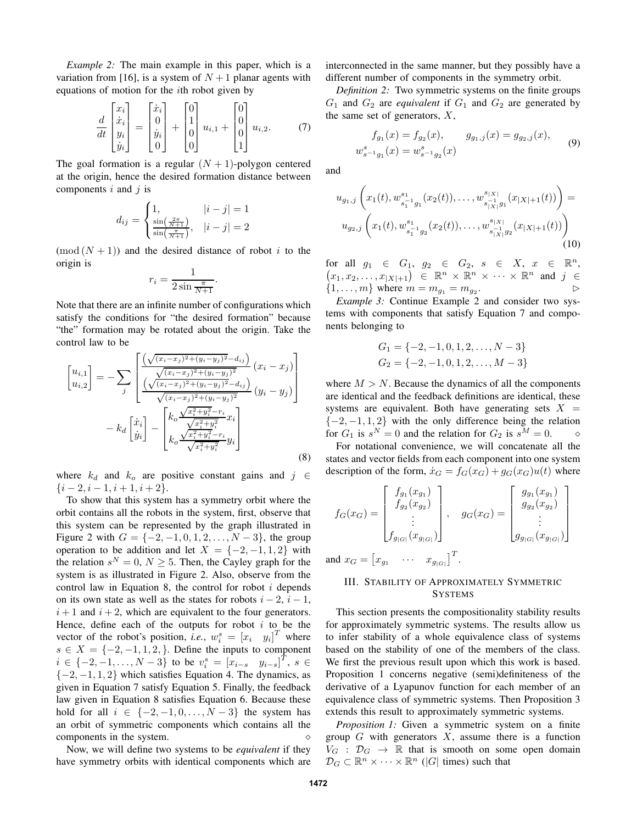*Example 2:* The main example in this paper, which is a variation from [16], is a system of  $N+1$  planar agents with equations of motion for the ith robot given by

$$
\frac{d}{dt} \begin{bmatrix} x_i \\ \dot{x}_i \\ y_i \\ \dot{y}_i \end{bmatrix} = \begin{bmatrix} \dot{x}_i \\ 0 \\ \dot{y}_i \\ 0 \end{bmatrix} + \begin{bmatrix} 0 \\ 1 \\ 0 \\ 0 \end{bmatrix} u_{i,1} + \begin{bmatrix} 0 \\ 0 \\ 0 \\ 1 \end{bmatrix} u_{i,2}. \tag{7}
$$

The goal formation is a regular  $(N + 1)$ -polygon centered at the origin, hence the desired formation distance between components  $i$  and  $j$  is

$$
d_{ij} = \begin{cases} 1, & |i - j| = 1\\ \frac{\sin(\frac{2\pi}{N+1})}{\sin(\frac{\pi}{N+1})}, & |i - j| = 2 \end{cases}
$$

 $\pmod{(N+1)}$  and the desired distance of robot i to the origin is

$$
r_i = \frac{1}{2\sin\frac{\pi}{N+1}}.
$$

Note that there are an infinite number of configurations which satisfy the conditions for "the desired formation" because "the" formation may be rotated about the origin. Take the control law to be

$$
\begin{bmatrix} u_{i,1} \\ u_{i,2} \end{bmatrix} = -\sum_{j} \left[ \frac{\left( \sqrt{(x_i - x_j)^2 + (y_i - y_j)^2} - d_{ij} \right)}{\left( \sqrt{(x_i - x_j)^2 + (y_i - y_j)^2} \right)} (x_i - x_j) \right] - k_d \left[ \frac{\dot{x}_i}{\dot{y}_i} \right] - \left[ \frac{k_o \frac{\sqrt{x_i^2 + y_i^2} - r_i}{\sqrt{x_i^2 + y_i^2} x_i}}{k_o \frac{\sqrt{x_i^2 + y_i^2} - r_i}{\sqrt{x_i^2 + y_i^2}} x_i} y_i \right]
$$
(8)

where  $k_d$  and  $k_o$  are positive constant gains and  $j \in$  $\{i-2, i-1, i+1, i+2\}.$ 

To show that this system has a symmetry orbit where the orbit contains all the robots in the system, first, observe that this system can be represented by the graph illustrated in Figure 2 with  $G = \{-2, -1, 0, 1, 2, \ldots, N - 3\}$ , the group operation to be addition and let  $X = \{-2, -1, 1, 2\}$  with the relation  $s^N = 0$ ,  $N \geq 5$ . Then, the Cayley graph for the system is as illustrated in Figure 2. Also, observe from the control law in Equation 8, the control for robot i depends on its own state as well as the states for robots  $i - 2$ ,  $i - 1$ ,  $i + 1$  and  $i + 2$ , which are equivalent to the four generators. Hence, define each of the outputs for robot  $i$  to be the vector of the robot's position, *i.e.*,  $w_i^s = [x_i \quad y_i]^T$  where  $s \in X = \{-2, -1, 1, 2, \}.$  Define the inputs to component  $i \in \{-2, -1, \ldots, N-3\}$  to be  $v_i^s = [x_{i-s} \quad y_{i-s}]^T$ ,  $s \in$  $\{-2, -1, 1, 2\}$  which satisfies Equation 4. The dynamics, as given in Equation 7 satisfy Equation 5. Finally, the feedback law given in Equation 8 satisfies Equation 6. Because these hold for all  $i \in \{-2, -1, 0, \ldots, N-3\}$  the system has an orbit of symmetric components which contains all the  $\infty$  components in the system.  $\diamond$ 

Now, we will define two systems to be *equivalent* if they have symmetry orbits with identical components which are interconnected in the same manner, but they possibly have a different number of components in the symmetry orbit.

*Definition 2:* Two symmetric systems on the finite groups  $G_1$  and  $G_2$  are *equivalent* if  $G_1$  and  $G_2$  are generated by the same set of generators,  $X$ ,

$$
f_{g_1}(x) = f_{g_2}(x), \qquad g_{g_1,j}(x) = g_{g_2,j}(x),
$$
  

$$
w_{s^{-1}g_1}^s(x) = w_{s^{-1}g_2}^s(x)
$$
 (9)

and

$$
u_{g_1,j}\left(x_1(t), w_{s_1^{-1}g_1}^{s_1}(x_2(t)), \dots, w_{s_{|X|}^{|\mathcal{S}|}g_1}^{s_{|X|}}(x_{|X|+1}(t))\right) =
$$
  

$$
u_{g_2,j}\left(x_1(t), w_{s_1^{-1}g_2}^{s_1}(x_2(t)), \dots, w_{s_{|X|}^{|\mathcal{S}|}g_2}^{s_{|X|}}(x_{|X|+1}(t))\right)
$$
  
(10)

for all  $g_1 \in G_1, g_2 \in G_2, s \in X, x \in \mathbb{R}^n$ ,  $(x_1, x_2, \ldots, x_{|X|+1}) \in \mathbb{R}^n \times \mathbb{R}^n \times \cdots \times \mathbb{R}^n$  and  $j \in$  $\{1, \ldots, m\}$  where  $m = m_{g_1} = m_{g_2}$ . .<br>.<br>.

*Example 3:* Continue Example 2 and consider two systems with components that satisfy Equation 7 and components belonging to

$$
G_1 = \{-2, -1, 0, 1, 2, \dots, N - 3\}
$$
  

$$
G_2 = \{-2, -1, 0, 1, 2, \dots, M - 3\}
$$

where  $M > N$ . Because the dynamics of all the components are identical and the feedback definitions are identical, these systems are equivalent. Both have generating sets  $X =$  ${-2, -1, 1, 2}$  with the only difference being the relation for  $G_1$  is  $s^N = 0$  and the relation for  $G_2$  is  $s^M = 0$ .  $\diamond$ 

For notational convenience, we will concatenate all the states and vector fields from each component into one system description of the form,  $\dot{x}_G = f_G(x_G) + g_G(x_G)u(t)$  where

$$
f_G(x_G) = \begin{bmatrix} f_{g_1}(x_{g_1}) \\ f_{g_2}(x_{g_2}) \\ \vdots \\ f_{g_{|G|}}(x_{g_{|G|}}) \end{bmatrix}, \quad g_G(x_G) = \begin{bmatrix} g_{g_1}(x_{g_1}) \\ g_{g_2}(x_{g_2}) \\ \vdots \\ g_{g_{|G|}}(x_{g_{|G|}}) \end{bmatrix}
$$

and  $x_G = \begin{bmatrix} x_{g_1} & \cdots & x_{g_{|G|}} \end{bmatrix}^T$ .

## III. STABILITY OF APPROXIMATELY SYMMETRIC **SYSTEMS**

This section presents the compositionality stability results for approximately symmetric systems. The results allow us to infer stability of a whole equivalence class of systems based on the stability of one of the members of the class. We first the previous result upon which this work is based. Proposition 1 concerns negative (semi)definiteness of the derivative of a Lyapunov function for each member of an equivalence class of symmetric systems. Then Proposition 3 extends this result to approximately symmetric systems.

*Proposition 1:* Given a symmetric system on a finite group  $G$  with generators  $X$ , assume there is a function  $V_G$  :  $\mathcal{D}_G \rightarrow \mathbb{R}$  that is smooth on some open domain  $\mathcal{D}_G \subset \mathbb{R}^n \times \cdots \times \mathbb{R}^n$  (|G| times) such that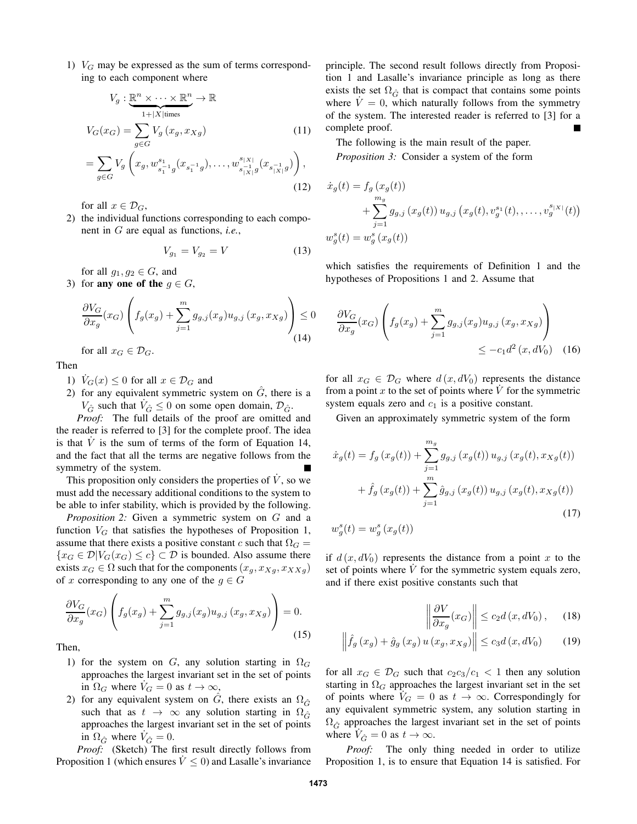1)  $V_G$  may be expressed as the sum of terms corresponding to each component where

$$
V_g: \underbrace{\mathbb{R}^n \times \dots \times \mathbb{R}^n}_{1+|X| \text{times}} \to \mathbb{R}
$$
  
\n
$$
V_G(x_G) = \sum_{g \in G} V_g(x_g, x_{Xg})
$$
 (11)  
\n
$$
= \sum_{g \in G} V_g\left(x_g, w_{s_1^{-1}g}^{s_1}(x_{s_1^{-1}g}), \dots, w_{s_{|X|}^{-1}g}^{s_{|X|}}(x_{s_{|X|}^{-1}g})\right),
$$
 (12)

for all  $x \in \mathcal{D}_G$ ,

2) the individual functions corresponding to each component in G are equal as functions, *i.e.*,

$$
V_{g_1} = V_{g_2} = V \tag{13}
$$

for all  $g_1, g_2 \in G$ , and

3) for any one of the  $g \in G$ ,

$$
\frac{\partial V_G}{\partial x_g}(x_G) \left( f_g(x_g) + \sum_{j=1}^m g_{g,j}(x_g) u_{g,j}(x_g, x_{Xg}) \right) \le 0
$$
\n(14)

for all  $x_G \in \mathcal{D}_G$ .

Then

- 1)  $V_G(x) \leq 0$  for all  $x \in \mathcal{D}_G$  and
- 2) for any equivalent symmetric system on  $\tilde{G}$ , there is a  $V_{\hat{G}}$  such that  $\dot{V}_{\hat{G}} \leq 0$  on some open domain,  $\mathcal{D}_{\hat{G}}$ .

*Proof:* The full details of the proof are omitted and the reader is referred to [3] for the complete proof. The idea is that  $\dot{V}$  is the sum of terms of the form of Equation 14, and the fact that all the terms are negative follows from the symmetry of the system.

This proposition only considers the properties of  $\dot{V}$ , so we must add the necessary additional conditions to the system to be able to infer stability, which is provided by the following.

*Proposition 2:* Given a symmetric system on G and a function  $V_G$  that satisfies the hypotheses of Proposition 1, assume that there exists a positive constant c such that  $\Omega_G =$  ${x_G \in \mathcal{D}|V_G(x_G) \leq c} \subset \mathcal{D}$  is bounded. Also assume there exists  $x_G \in \Omega$  such that for the components  $(x_g, x_{Xg}, x_{XXg})$ of x corresponding to any one of the  $g \in G$ 

$$
\frac{\partial V_G}{\partial x_g}(x_G) \left( f_g(x_g) + \sum_{j=1}^m g_{g,j}(x_g) u_{g,j}(x_g, x_{Xg}) \right) = 0.
$$
\n(15)

Then,

- 1) for the system on G, any solution starting in  $\Omega$ approaches the largest invariant set in the set of points in  $\Omega_G$  where  $V_G = 0$  as  $t \to \infty$ ,
- 2) for any equivalent system on  $\tilde{G}$ , there exists an  $\Omega_{\hat{G}}$ such that as  $t \to \infty$  any solution starting in  $\Omega_{\hat{G}}$ approaches the largest invariant set in the set of points in  $\Omega_{\hat{G}}$  where  $\dot{V}_{\hat{G}} = 0$ .

*Proof:* (Sketch) The first result directly follows from Proposition 1 (which ensures  $\dot{V} \leq 0$ ) and Lasalle's invariance

principle. The second result follows directly from Proposition 1 and Lasalle's invariance principle as long as there exists the set  $\Omega_{\hat{G}}$  that is compact that contains some points where  $\dot{V} = 0$ , which naturally follows from the symmetry of the system. The interested reader is referred to [3] for a complete proof.

The following is the main result of the paper. *Proposition 3:* Consider a system of the form

$$
\dot{x}_g(t) = f_g(x_g(t)) \n+ \sum_{j=1}^{m_g} g_{g,j}(x_g(t)) u_{g,j}(x_g(t), v_g^{s_1}(t), \dots, v_g^{s_{|X|}}(t)) \n w_g^s(t) = w_g^s(x_g(t))
$$

which satisfies the requirements of Definition 1 and the hypotheses of Propositions 1 and 2. Assume that

$$
\frac{\partial V_G}{\partial x_g}(x_G) \left( f_g(x_g) + \sum_{j=1}^m g_{g,j}(x_g) u_{g,j}(x_g, x_{Xg}) \right) \le -c_1 d^2(x, dV_0) \quad (16)
$$

for all  $x_G \in \mathcal{D}_G$  where  $d(x, dV_0)$  represents the distance from a point  $x$  to the set of points where  $\dot{V}$  for the symmetric system equals zero and  $c_1$  is a positive constant.

Given an approximately symmetric system of the form

$$
\dot{x}_g(t) = f_g(x_g(t)) + \sum_{j=1}^{m_g} g_{g,j}(x_g(t)) u_{g,j}(x_g(t), x_{Xg}(t)) + \hat{f}_g(x_g(t)) + \sum_{j=1}^{m} \hat{g}_{g,j}(x_g(t)) u_{g,j}(x_g(t), x_{Xg}(t))
$$
\n(17)

$$
w_g^s(t) = w_g^s\left(x_g(t)\right)
$$

if  $d(x, dV_0)$  represents the distance from a point x to the set of points where  $\dot{V}$  for the symmetric system equals zero, and if there exist positive constants such that

$$
\left\|\frac{\partial V}{\partial x_g}(x_G)\right\| \le c_2 d\left(x, dV_0\right),\qquad(18)
$$

$$
\left\|\hat{f}_g\left(x_g\right) + \hat{g}_g\left(x_g\right)u\left(x_g, x_{Xg}\right)\right\| \le c_3 d\left(x, dV_0\right) \tag{19}
$$

for all  $x_G \in \mathcal{D}_G$  such that  $c_2c_3/c_1 < 1$  then any solution starting in  $\Omega_G$  approaches the largest invariant set in the set of points where  $V_G = 0$  as  $t \to \infty$ . Correspondingly for any equivalent symmetric system, any solution starting in  $\Omega_{\hat{G}}$  approaches the largest invariant set in the set of points where  $\dot{V}_{\hat{G}} = 0$  as  $t \to \infty$ .

*Proof:* The only thing needed in order to utilize Proposition 1, is to ensure that Equation 14 is satisfied. For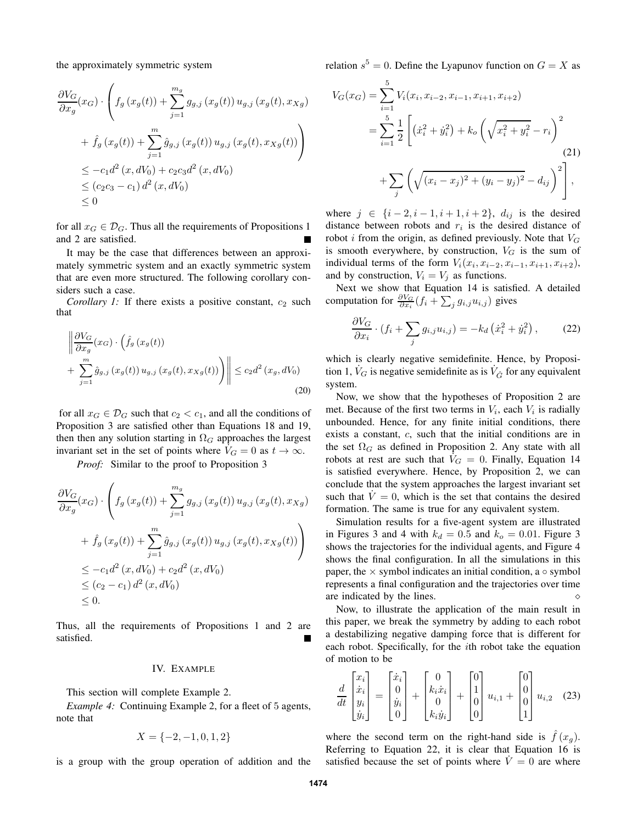the approximately symmetric system

$$
\frac{\partial V_G}{\partial x_g}(x_G) \cdot \left( f_g(x_g(t)) + \sum_{j=1}^{m_g} g_{g,j}(x_g(t)) u_{g,j}(x_g(t), x_{Xg}) + \hat{f}_g(x_g(t)) + \sum_{j=1}^{m} \hat{g}_{g,j}(x_g(t)) u_{g,j}(x_g(t), x_{Xg}(t)) \right) \n\leq -c_1 d^2(x, dV_0) + c_2 c_3 d^2(x, dV_0) \n\leq (c_2 c_3 - c_1) d^2(x, dV_0) \n\leq 0
$$

for all  $x_G \in \mathcal{D}_G$ . Thus all the requirements of Propositions 1 and 2 are satisfied.

It may be the case that differences between an approximately symmetric system and an exactly symmetric system that are even more structured. The following corollary considers such a case.

*Corollary 1:* If there exists a positive constant,  $c_2$  such that

$$
\left\| \frac{\partial V_G}{\partial x_g}(x_G) \cdot \left( \hat{f}_g(x_g(t)) \right) + \sum_{j=1}^m \hat{g}_{g,j}(x_g(t)) u_{g,j}(x_g(t), x_{Xg}(t)) \right) \right\| \le c_2 d^2(x_g, dV_0)
$$
\n(20)

for all  $x_G \in \mathcal{D}_G$  such that  $c_2 < c_1$ , and all the conditions of Proposition 3 are satisfied other than Equations 18 and 19, then then any solution starting in  $\Omega_G$  approaches the largest invariant set in the set of points where  $V_G = 0$  as  $t \to \infty$ .

*Proof:* Similar to the proof to Proposition 3

$$
\frac{\partial V_G}{\partial x_g}(x_G) \cdot \left( f_g(x_g(t)) + \sum_{j=1}^{m_g} g_{g,j}(x_g(t)) u_{g,j}(x_g(t), x_{Xg}) + \hat{f}_g(x_g(t)) + \sum_{j=1}^{m} \hat{g}_{g,j}(x_g(t)) u_{g,j}(x_g(t), x_{Xg}(t)) \right) \n\leq -c_1 d^2(x, dV_0) + c_2 d^2(x, dV_0) \n\leq (c_2 - c_1) d^2(x, dV_0) \n\leq 0.
$$

Thus, all the requirements of Propositions 1 and 2 are satisfied.

## IV. EXAMPLE

This section will complete Example 2.

*Example 4:* Continuing Example 2, for a fleet of 5 agents, note that

$$
X = \{-2, -1, 0, 1, 2\}
$$

is a group with the group operation of addition and the

relation  $s^5 = 0$ . Define the Lyapunov function on  $G = X$  as

$$
V_G(x_G) = \sum_{i=1}^{5} V_i(x_i, x_{i-2}, x_{i-1}, x_{i+1}, x_{i+2})
$$
  
= 
$$
\sum_{i=1}^{5} \frac{1}{2} \left[ \left( \dot{x}_i^2 + \dot{y}_i^2 \right) + k_o \left( \sqrt{x_i^2 + y_i^2} - r_i \right)^2 + \sum_{j} \left( \sqrt{(x_i - x_j)^2 + (y_i - y_j)^2} - d_{ij} \right)^2 \right],
$$
 (21)

where  $j \in \{i-2, i-1, i+1, i+2\}$ ,  $d_{ij}$  is the desired distance between robots and  $r_i$  is the desired distance of robot i from the origin, as defined previously. Note that  $V_G$ is smooth everywhere, by construction,  $V_G$  is the sum of individual terms of the form  $V_i(x_i, x_{i-2}, x_{i-1}, x_{i+1}, x_{i+2})$ , and by construction,  $V_i = V_j$  as functions.

Next we show that Equation 14 is satisfied. A detailed computation for  $\frac{\partial V_G}{\partial x_i}(f_i + \sum_j g_{i,j}u_{i,j})$  gives

$$
\frac{\partial V_G}{\partial x_i} \cdot (f_i + \sum_j g_{i,j} u_{i,j}) = -k_d \left(\dot{x}_i^2 + \dot{y}_i^2\right),\tag{22}
$$

which is clearly negative semidefinite. Hence, by Proposition 1,  $\dot{V}_G$  is negative semidefinite as is  $\dot{V}_{\hat{G}}$  for any equivalent system.

Now, we show that the hypotheses of Proposition 2 are met. Because of the first two terms in  $V_i$ , each  $V_i$  is radially unbounded. Hence, for any finite initial conditions, there exists a constant, c, such that the initial conditions are in the set  $\Omega_G$  as defined in Proposition 2. Any state with all robots at rest are such that  $V_G = 0$ . Finally, Equation 14 is satisfied everywhere. Hence, by Proposition 2, we can conclude that the system approaches the largest invariant set such that  $V = 0$ , which is the set that contains the desired formation. The same is true for any equivalent system.

Simulation results for a five-agent system are illustrated in Figures 3 and 4 with  $k_d = 0.5$  and  $k_o = 0.01$ . Figure 3 shows the trajectories for the individual agents, and Figure 4 shows the final configuration. In all the simulations in this paper, the  $\times$  symbol indicates an initial condition, a  $\circ$  symbol represents a final configuration and the trajectories over time are indicated by the lines.  $\Diamond$ 

Now, to illustrate the application of the main result in this paper, we break the symmetry by adding to each robot a destabilizing negative damping force that is different for each robot. Specifically, for the ith robot take the equation of motion to be

$$
\frac{d}{dt} \begin{bmatrix} x_i \\ \dot{x}_i \\ y_i \\ \dot{y}_i \end{bmatrix} = \begin{bmatrix} \dot{x}_i \\ 0 \\ \dot{y}_i \\ 0 \end{bmatrix} + \begin{bmatrix} 0 \\ k_i \dot{x}_i \\ 0 \\ k_i \dot{y}_i \end{bmatrix} + \begin{bmatrix} 0 \\ 1 \\ 0 \\ 0 \end{bmatrix} u_{i,1} + \begin{bmatrix} 0 \\ 0 \\ 0 \\ 1 \end{bmatrix} u_{i,2} \quad (23)
$$

where the second term on the right-hand side is  $\hat{f}(x_g)$ . Referring to Equation 22, it is clear that Equation 16 is satisfied because the set of points where  $\dot{V} = 0$  are where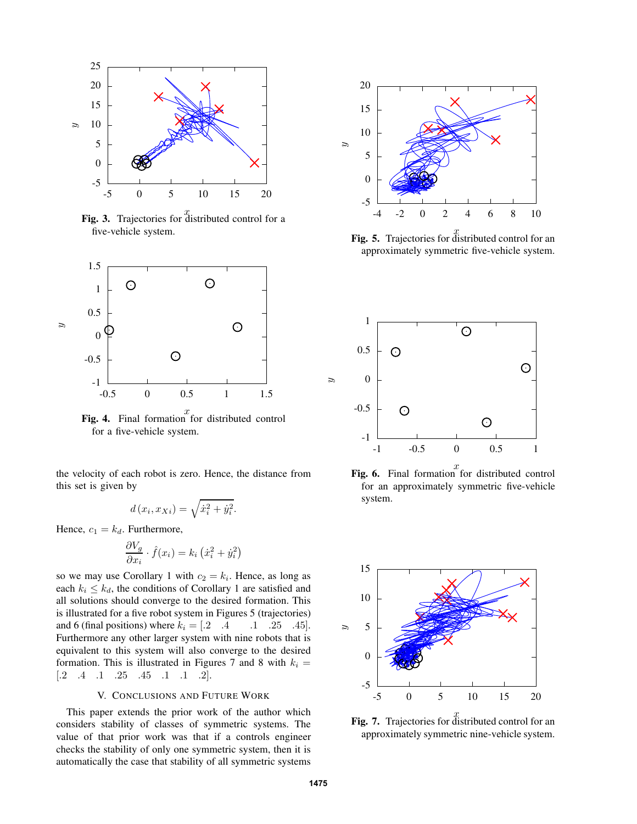

**Fig. 3.** Trajectories for distributed control for a five-vehicle system.



**Fig. 4.** Final formation for distributed control for a five-vehicle system.

the velocity of each robot is zero. Hence, the distance from this set is given by

$$
d(x_i, x_{Xi}) = \sqrt{\dot{x}_i^2 + \dot{y}_i^2}.
$$

Hence,  $c_1 = k_d$ . Furthermore,

$$
\frac{\partial V_g}{\partial x_i} \cdot \hat{f}(x_i) = k_i \left( \dot{x}_i^2 + \dot{y}_i^2 \right)
$$

so we may use Corollary 1 with  $c_2 = k_i$ . Hence, as long as each  $k_i \leq k_d$ , the conditions of Corollary 1 are satisfied and all solutions should converge to the desired formation. This is illustrated for a five robot system in Figures 5 (trajectories) and 6 (final positions) where  $k_i = \begin{bmatrix} 0.2 \\ 0.4 \\ 0.1 \end{bmatrix}$ .  $\begin{bmatrix} 2.5 \\ 0.45 \end{bmatrix}$ . Furthermore any other larger system with nine robots that is equivalent to this system will also converge to the desired formation. This is illustrated in Figures 7 and 8 with  $k_i =$  $[.2 \quad .4 \quad .1 \quad .25 \quad .45 \quad .1 \quad .1 \quad .2].$ 

## V. CONCLUSIONS AND FUTURE WORK

This paper extends the prior work of the author which considers stability of classes of symmetric systems. The value of that prior work was that if a controls engineer checks the stability of only one symmetric system, then it is automatically the case that stability of all symmetric systems



**Fig. 5.** Trajectories for distributed control for an approximately symmetric five-vehicle system.



**Fig. 6.** Final formation for distributed control for an approximately symmetric five-vehicle system.



**Fig. 7.** Trajectories for distributed control for an approximately symmetric nine-vehicle system.